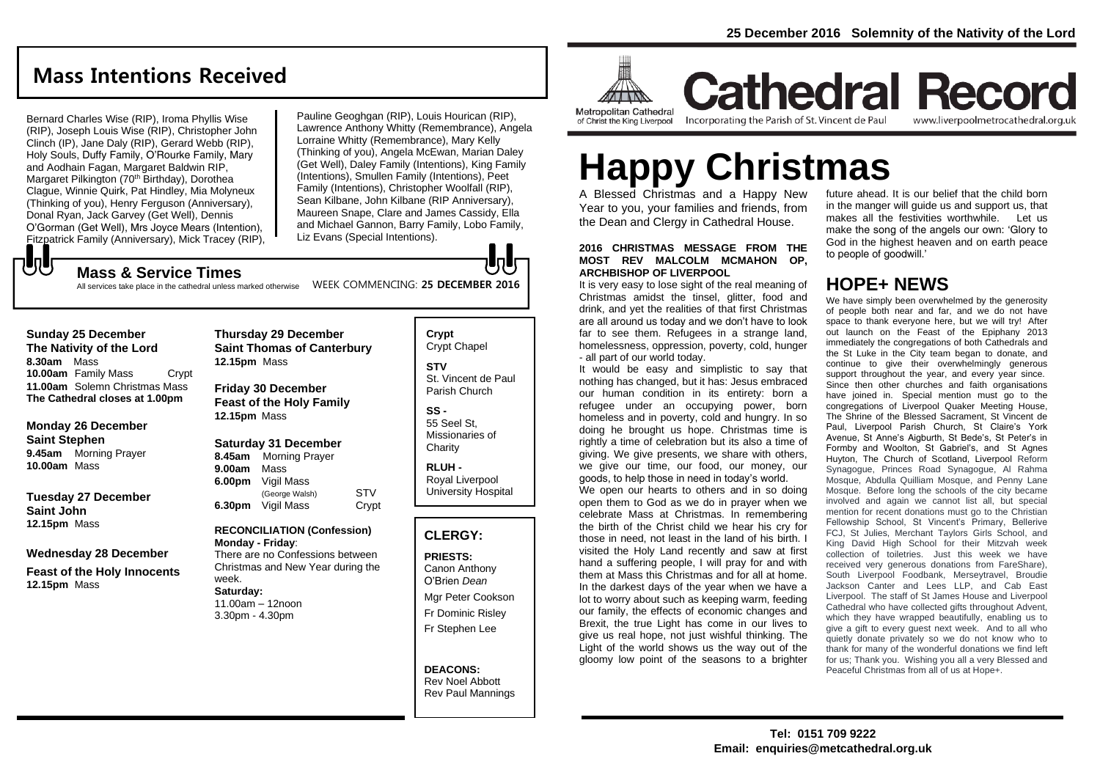## **Mass Intentions Received**

Bernard Charles Wise (RIP), Iroma Phyllis Wise (RIP), Joseph Louis Wise (RIP), Christopher John Clinch (IP), Jane Daly (RIP), Gerard Webb (RIP), Holy Souls, Duffy Family, O'Rourke Family, Mary and Aodhain Fagan, Margaret Baldwin RIP, Margaret Pilkington (70<sup>th</sup> Birthday), Dorothea Clague, Winnie Quirk, Pat Hindley, Mia Molyneux (Thinking of you), Henry Ferguson (Anniversary), Donal Ryan, Jack Garvey (Get Well), Dennis O'Gorman (Get Well), Mrs Joyce Mears (Intention), Fitzpatrick Family (Anniversary), Mick Tracey (RIP),

Pauline Geoghgan (RIP), Louis Hourican (RIP), Lawrence Anthony Whitty (Remembrance), Angela Lorraine Whitty (Remembrance), Mary Kelly (Thinking of you), Angela McEwan, Marian Daley (Get Well), Daley Family (Intentions), King Family (Intentions), Smullen Family (Intentions), Peet Family (Intentions), Christopher Woolfall (RIP), Sean Kilbane, John Kilbane (RIP Anniversary), Maureen Snape, Clare and James Cassidy, Ella and Michael Gannon, Barry Family, Lobo Family, Liz Evans (Special Intentions).

### もし **Mass & Service Times**

WEEK COMMENCING: **25 DECEMBER 2016** All services take place in the cathedral unless marked otherwise

### **Sunday 25 December The Nativity of the Lord 8.30am** Mass

**10.00am** Family Mass Crypt **11.00am** Solemn Christmas Mass **The Cathedral closes at 1.00pm**

### **Monday 26 December Saint Stephen 9.45am** Morning Prayer **10.00am** Mass

**Tuesday 27 December Saint John 12.15pm** Mass

### **Wednesday 28 December**

**Feast of the Holy Innocents 12.15pm** Mass

### **Thursday 29 December Saint Thomas of Canterbury 12.15pm** Mass **Friday 30 December Feast of the Holy Family**

**12.15pm** Mass

### **Saturday 31 December**

**8.45am** Morning Prayer **9.00am** Mass **6.00pm** Vigil Mass (George Walsh) STV **6.30pm** Vigil Mass Crypt

### **RECONCILIATION (Confession) Monday - Friday**:

There are no Confessions between Christmas and New Year during the week. **Saturday:** 11.00am – 12noon

3.30pm - 4.30pm

### **Crypt**  Crypt Chapel **STV** St. Vincent de Paul Parish Church

lala

**SS -** 55 Seel St, Missionaries of **Charity** 

**RLUH -** Royal Liverpool University Hospital

### **CLERGY:**

## **PRIESTS:**

Canon Anthony O'Brien *Dean*

Mgr Peter Cookson Fr Dominic Risley Fr Stephen Lee

### **DEACONS:** Rev Noel Abbott Rev Paul Mannings



**Cathedral Record** Incorporating the Parish of St. Vincent de Paul

www.liverpoolmetrocathedral.org.uk

# **Happy Christmas**

A Blessed Christmas and a Happy New Year to you, your families and friends, from the Dean and Clergy in Cathedral House.

### **2016 CHRISTMAS MESSAGE FROM THE MOST REV MALCOLM MCMAHON OP, ARCHBISHOP OF LIVERPOOL**

It is very easy to lose sight of the real meaning of Christmas amidst the tinsel, glitter, food and drink, and yet the realities of that first Christmas are all around us today and we don't have to look far to see them. Refugees in a strange land, homelessness, oppression, poverty, cold, hunger - all part of our world today.

It would be easy and simplistic to say that nothing has changed, but it has: Jesus embraced our human condition in its entirety: born a refugee under an occupying power, born homeless and in poverty, cold and hungry. In so doing he brought us hope. Christmas time is rightly a time of celebration but its also a time of giving. We give presents, we share with others, we give our time, our food, our money, our goods, to help those in need in today's world.

We open our hearts to others and in so doing open them to God as we do in prayer when we celebrate Mass at Christmas. In remembering the birth of the Christ child we hear his cry for those in need, not least in the land of his birth. I visited the Holy Land recently and saw at first hand a suffering people, I will pray for and with them at Mass this Christmas and for all at home. In the darkest days of the year when we have a lot to worry about such as keeping warm, feeding our family, the effects of economic changes and Brexit, the true Light has come in our lives to give us real hope, not just wishful thinking. The Light of the world shows us the way out of the gloomy low point of the seasons to a brighter

future ahead. It is our belief that the child born in the manger will guide us and support us, that makes all the festivities worthwhile. Let us make the song of the angels our own: 'Glory to God in the highest heaven and on earth peace to people of goodwill.'

## **HOPE+ NEWS**

We have simply been overwhelmed by the generosity of people both near and far, and we do not have space to thank everyone here, but we will try! After out launch on the Feast of the Epiphany 2013 immediately the congregations of both Cathedrals and the St Luke in the City team began to donate, and continue to give their overwhelmingly generous support throughout the year, and every year since. Since then other churches and faith organisations have joined in. Special mention must go to the congregations of Liverpool Quaker Meeting House, The Shrine of the Blessed Sacrament, St Vincent de Paul, Liverpool Parish Church, St Claire's York Avenue, St Anne's Aigburth, St Bede's, St Peter's in Formby and Woolton, St Gabriel's, and St Agnes Huyton, The Church of Scotland, Liverpool Reform Synagogue, Princes Road Synagogue, Al Rahma Mosque, Abdulla Quilliam Mosque, and Penny Lane Mosque. Before long the schools of the city became involved and again we cannot list all, but special mention for recent donations must go to the Christian Fellowship School, St Vincent's Primary, Bellerive FCJ, St Julies, Merchant Taylors Girls School, and King David High School for their Mitzvah week collection of toiletries. Just this week we have received very generous donations from FareShare), South Liverpool Foodbank, Merseytravel, Broudie Jackson Canter and Lees LLP, and Cab East Liverpool. The staff of St James House and Liverpool Cathedral who have collected gifts throughout Advent, which they have wrapped beautifully, enabling us to give a gift to every guest next week. And to all who quietly donate privately so we do not know who to thank for many of the wonderful donations we find left for us; Thank you. Wishing you all a very Blessed and Peaceful Christmas from all of us at Hope+.